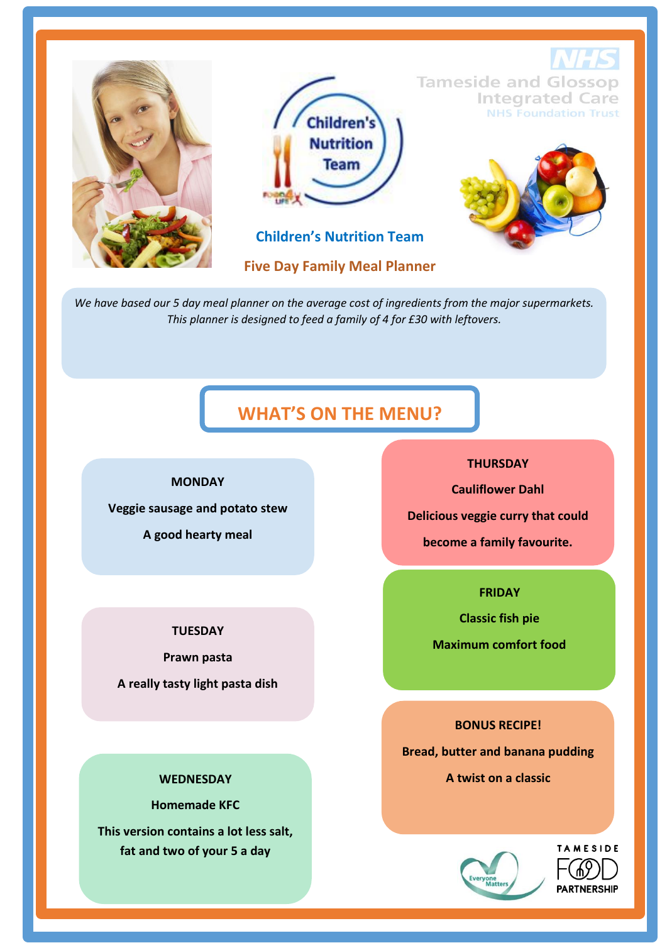

*We have based our 5 day meal planner on the average cost of ingredients from the major supermarkets. This planner is designed to feed a family of 4 for £30 with leftovers.* 

# **WHAT'S ON THE MENU?**

#### **MONDAY**

**Veggie sausage and potato stew**

**A good hearty meal**

### **TUESDAY**

**Prawn pasta**

**A really tasty light pasta dish**

#### **WEDNESDAY**

**Homemade KFC This version contains a lot less salt, fat and two of your 5 a day**

### **THURSDAY**

**Cauliflower Dahl**

**Delicious veggie curry that could**

**become a family favourite.**

**FRIDAY**

**Classic fish pie** 

**Maximum comfort food**

**BONUS RECIPE!**

**Bread, butter and banana pudding** 

**A twist on a classic**



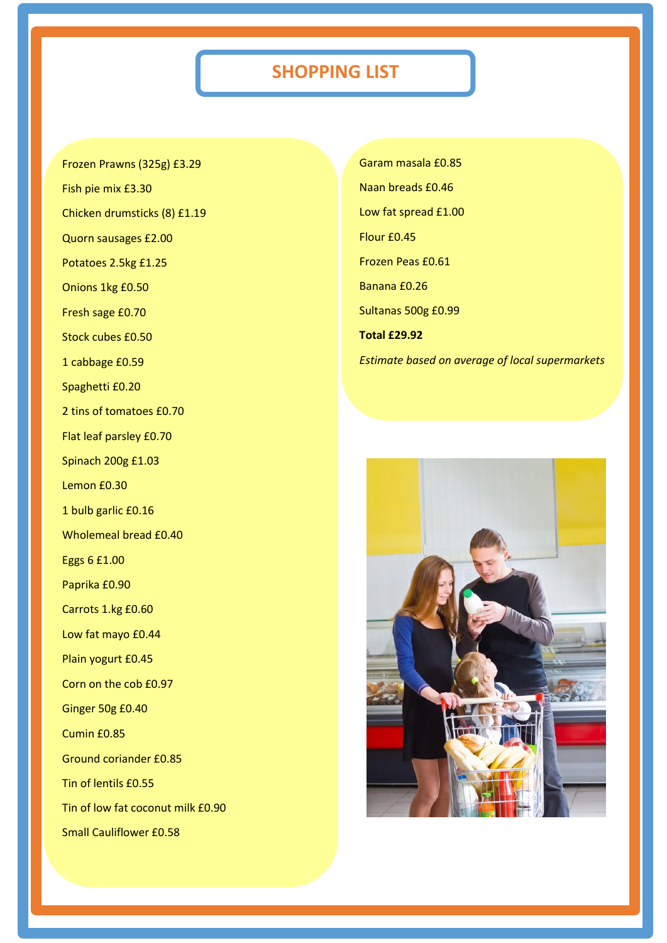# **SHOPPING LIST**

Frozen Prawns (325g) £3.29

Fish pie mix £3.30

Chicken drumsticks (8) £1.19

Quorn sausages £2.00

Potatoes 2.5kg £1.25

Onions 1kg £0.50

Fresh sage £0.70

Stock cubes £0.50

1 cabbage £0.59

Spaghetti £0.20

2 tins of tomatoes £0.70

Flat leaf parsley £0.70

Spinach 200g £1.03

Lemon £0.30

1 bulb garlic £0.16

Wholemeal bread £0.40

Eggs 6 £1.00

Paprika £0.90

Carrots 1.kg £0.60

Low fat mayo £0.44

Plain yogurt £0.45

Corn on the cob £0.97

Ginger 50g £0.40

Cumin £0.85

Ground coriander £0.85

Tin of lentils £0.55

Tin of low fat coconut milk £0.90

Small Cauliflower £0.58

Garam masala £0.85 Naan breads £0.46 Low fat spread £1.00 Flour £0.45 Frozen Peas £0.61 Banana £0.26 Sultanas 500g £0.99 **Total £29.92** *Estimate based on average of local supermarkets*

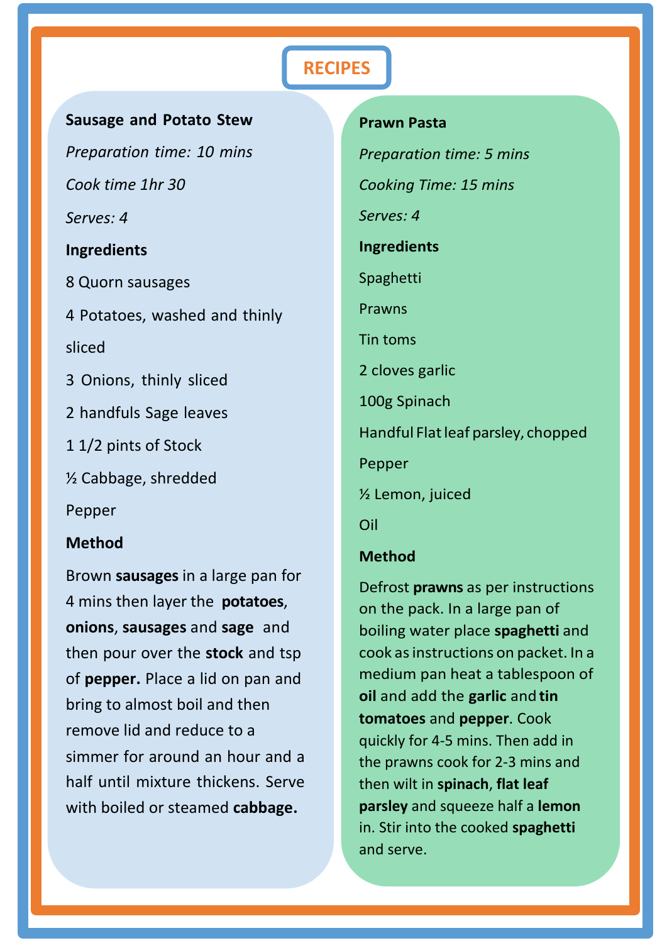# **RECIPES**

### **Sausage and Potato Stew**

*Preparation time: 10 mins Cook time 1hr 30 Serves: 4* **Ingredients**

# 8 Quorn sausages

4 Potatoes, washed and thinly

sliced

- 3 Onions, thinly sliced
- 2 handfuls Sage leaves
- 1 1/2 pints of Stock

½ Cabbage, shredded

Pepper

## **Method**

Brown **sausages** in a large pan for 4 mins then layer the **potatoes**, **onions**, **sausages** and **sage** and then pour over the **stock** and tsp of **pepper.** Place a lid on pan and bring to almost boil and then remove lid and reduce to a simmer for around an hour and a half until mixture thickens. Serve with boiled or steamed **cabbage.**

# **Prawn Pasta** *Preparation time: 5 mins Cooking Time: 15 mins Serves: 4* **Ingredients** Spaghetti Prawns Tin toms 2 cloves garlic 100g Spinach Handful Flat leaf parsley, chopped Pepper ½ Lemon, juiced Oil

## **Method**

Defrost **prawns** as per instructions on the pack. In a large pan of boiling water place **spaghetti** and cook asinstructions on packet. In a medium pan heat a tablespoon of **oil** and add the **garlic** and **tin tomatoes** and **pepper**. Cook quickly for 4-5 mins. Then add in the prawns cook for 2-3 mins and then wilt in **spinach**, **flat leaf parsley** and squeeze half a **lemon**  in. Stir into the cooked **spaghetti**  and serve.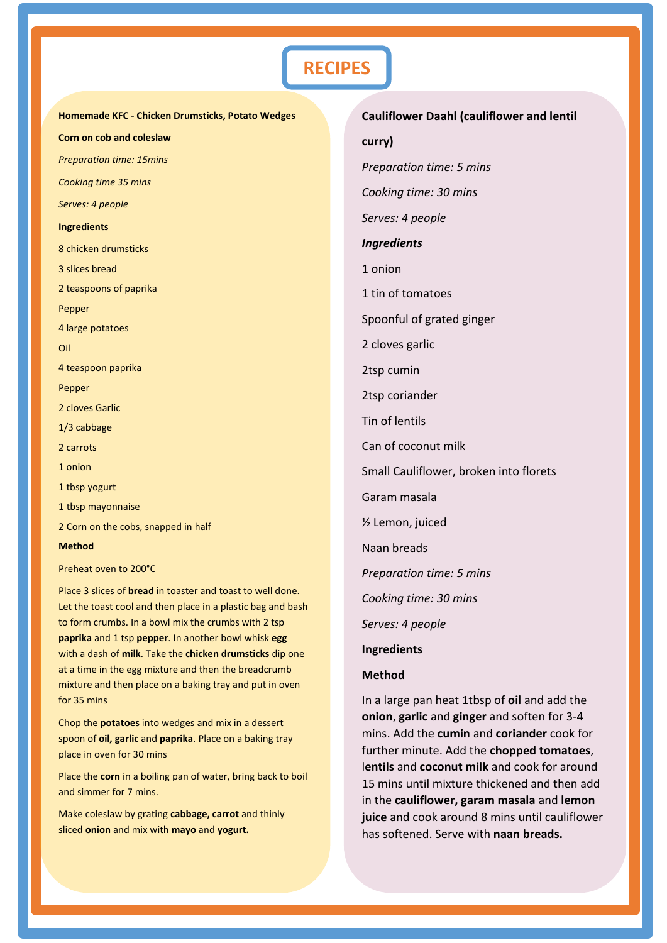# **RECIPES**

**Homemade KFC - Chicken Drumsticks, Potato Wedges Corn on cob and coleslaw** *Preparation time: 15mins Cooking time 35 mins Serves: 4 people* **Ingredients** 8 chicken drumsticks 3 slices bread 2 teaspoons of paprika Pepper 4 large potatoes Oil 4 teaspoon paprika Pepper 2 cloves Garlic 1/3 cabbage 2 carrots 1 onion 1 tbsp yogurt 1 tbsp mayonnaise 2 Corn on the cobs, snapped in half **Method**

Preheat oven to 200°C

Place 3 slices of **bread** in toaster and toast to well done. Let the toast cool and then place in a plastic bag and bash to form crumbs. In a bowl mix the crumbs with 2 tsp **paprika** and 1 tsp **pepper**. In another bowl whisk **egg** with a dash of **milk**. Take the **chicken drumsticks** dip one at a time in the egg mixture and then the breadcrumb mixture and then place on a baking tray and put in oven for 35 mins

Chop the **potatoes** into wedges and mix in a dessert spoon of **oil, garlic** and **paprika**. Place on a baking tray place in oven for 30 mins

Place the **corn** in a boiling pan of water, bring back to boil and simmer for 7 mins.

Make coleslaw by grating **cabbage, carrot** and thinly sliced **onion** and mix with **mayo** and **yogurt.**

**Cauliflower Daahl (cauliflower and lentil curry)** *Preparation time: 5 mins Cooking time: 30 mins Serves: 4 people Ingredients* 1 onion 1 tin of tomatoes Spoonful of grated ginger 2 cloves garlic 2tsp cumin 2tsp coriander Tin of lentils Can of coconut milk Small Cauliflower, broken into florets Garam masala ½ Lemon, juiced Naan breads *Preparation time: 5 mins Cooking time: 30 mins Serves: 4 people*  **Ingredients Method**

In a large pan heat 1tbsp of **oil** and add the **onion**, **garlic** and **ginger** and soften for 3-4 mins. Add the **cumin** and **coriander** cook for further minute. Add the **chopped tomatoes**, l**entils** and **coconut milk** and cook for around 15 mins until mixture thickened and then add in the **cauliflower, garam masala** and **lemon juice** and cook around 8 mins until cauliflower has softened. Serve with **naan breads.**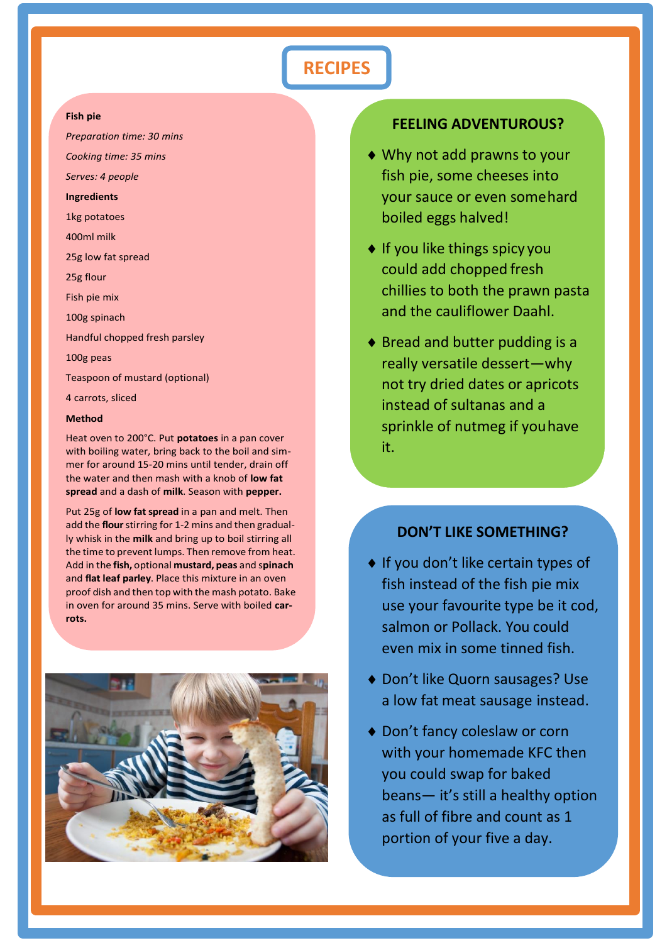# **RECIPES**

#### **Fish pie**

*Preparation time: 30 mins* 

*Cooking time: 35 mins*

*Serves: 4 people*

**Ingredients** 

1kg potatoes

400ml milk

25g low fat spread

25g flour

Fish pie mix

100g spinach

Handful chopped fresh parsley

100g peas

Teaspoon of mustard (optional)

4 carrots, sliced

#### **Method**

Heat oven to 200°C. Put **potatoes** in a pan cover with boiling water, bring back to the boil and simmer for around 15-20 mins until tender, drain off the water and then mash with a knob of **low fat spread** and a dash of **milk**. Season with **pepper.**

Put 25g of **low fat spread** in a pan and melt. Then add the **flour**stirring for 1-2 mins and then gradually whisk in the **milk** and bring up to boil stirring all the time to prevent lumps. Then remove from heat. Add in the **fish,** optional **mustard, peas** and s**pinach**  and **flat leaf parley**. Place this mixture in an oven proof dish and then top with the mash potato. Bake in oven for around 35 mins. Serve with boiled **carrots.**



### **FEELING ADVENTUROUS?**

- Why not add prawns to your fish pie, some cheeses into your sauce or even somehard boiled eggs halved!
- ◆ If you like things spicy you could add chopped fresh chillies to both the prawn pasta and the cauliflower Daahl.
- $\bullet$  Bread and butter pudding is a really versatile dessert—why not try dried dates or apricots instead of sultanas and a sprinkle of nutmeg if youhave it.

### **DON'T LIKE SOMETHING?**

- $\bullet$  If you don't like certain types of fish instead of the fish pie mix use your favourite type be it cod, salmon or Pollack. You could even mix in some tinned fish.
- ◆ Don't like Quorn sausages? Use a low fat meat sausage instead.
- ◆ Don't fancy coleslaw or corn with your homemade KFC then you could swap for baked beans— it's still a healthy option as full of fibre and count as 1 portion of your five a day.